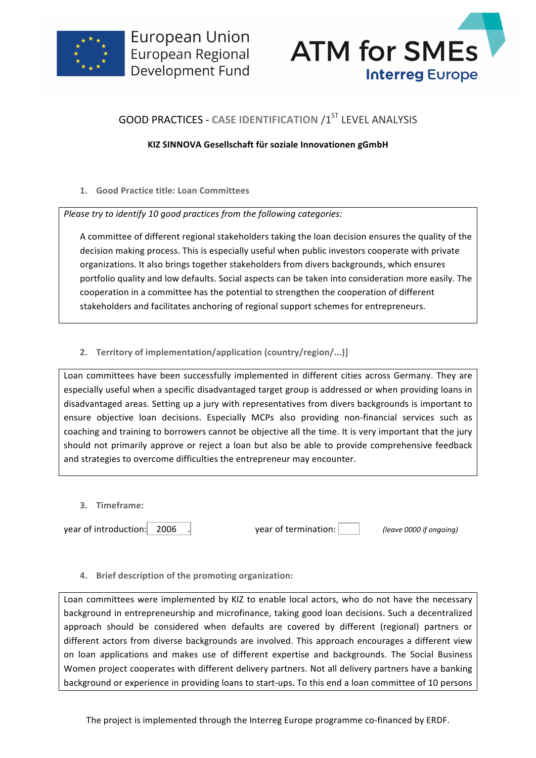



# **GOOD PRACTICES - CASE IDENTIFICATION /1ST LEVEL ANALYSIS**

### **KIZ SINNOVA Gesellschaft für soziale Innovationen gGmbH**

**1. Good Practice title: Loan Committees** 

*Please try to identify 10 good practices from the following categories:* 

A committee of different regional stakeholders taking the loan decision ensures the quality of the decision making process. This is especially useful when public investors cooperate with private organizations. It also brings together stakeholders from divers backgrounds, which ensures portfolio quality and low defaults. Social aspects can be taken into consideration more easily. The cooperation in a committee has the potential to strengthen the cooperation of different stakeholders and facilitates anchoring of regional support schemes for entrepreneurs.

## 2. **Territory of implementation/application (country/region/...)]**

Loan committees have been successfully implemented in different cities across Germany. They are especially useful when a specific disadvantaged target group is addressed or when providing loans in disadvantaged areas. Setting up a jury with representatives from divers backgrounds is important to ensure objective loan decisions. Especially MCPs also providing non-financial services such as coaching and training to borrowers cannot be objective all the time. It is very important that the jury should not primarily approve or reject a loan but also be able to provide comprehensive feedback and strategies to overcome difficulties the entrepreneur may encounter.

**3. Timeframe:**

year of introduction: 2006 .

**4.** Brief description of the promoting organization:

Loan committees were implemented by KIZ to enable local actors, who do not have the necessary background in entrepreneurship and microfinance, taking good loan decisions. Such a decentralized approach should be considered when defaults are covered by different (regional) partners or different actors from diverse backgrounds are involved. This approach encourages a different view on loan applications and makes use of different expertise and backgrounds. The Social Business Women project cooperates with different delivery partners. Not all delivery partners have a banking background or experience in providing loans to start-ups. To this end a loan committee of 10 persons

The project is implemented through the Interreg Europe programme co-financed by ERDF.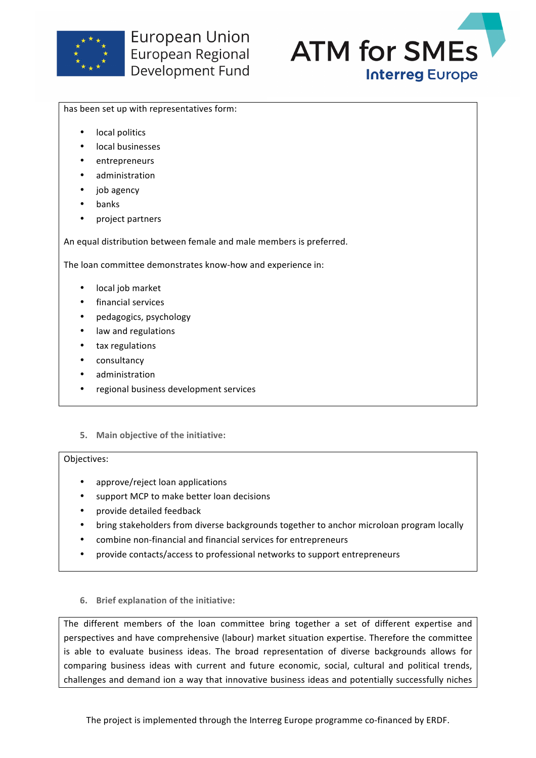



#### has been set up with representatives form:

- local politics
- local businesses
- entrepreneurs
- administration
- job agency
- banks
- project partners

An equal distribution between female and male members is preferred.

The loan committee demonstrates know-how and experience in:

- local job market
- financial services
- pedagogics, psychology
- law and regulations
- tax regulations
- consultancy
- administration
- regional business development services

#### **5.** Main objective of the initiative:

#### Objectives:

- approve/reject loan applications
- support MCP to make better loan decisions
- provide detailed feedback
- bring stakeholders from diverse backgrounds together to anchor microloan program locally
- combine non-financial and financial services for entrepreneurs
- provide contacts/access to professional networks to support entrepreneurs
- **6.** Brief explanation of the initiative:

The different members of the loan committee bring together a set of different expertise and perspectives and have comprehensive (labour) market situation expertise. Therefore the committee is able to evaluate business ideas. The broad representation of diverse backgrounds allows for comparing business ideas with current and future economic, social, cultural and political trends, challenges and demand ion a way that innovative business ideas and potentially successfully niches